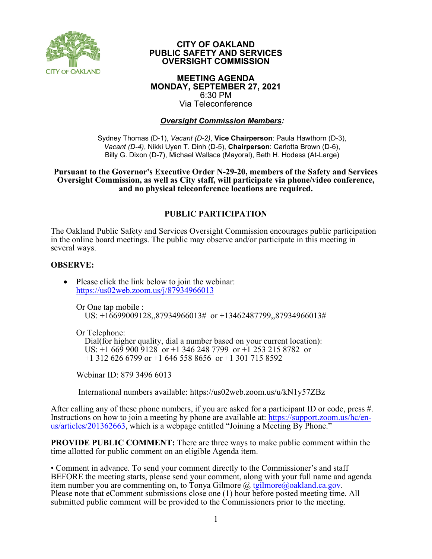

#### **CITY OF OAKLAND PUBLIC SAFETY AND SERVICES OVERSIGHT COMMISSION**

#### **MEETING AGENDA MONDAY, SEPTEMBER 27, 2021** 6:30 PM Via Teleconference

### *Oversight Commission Members:*

Sydney Thomas (D-1), *Vacant (D-2)*, **Vice Chairperson**: Paula Hawthorn (D-3), *Vacant (D-4)*, Nikki Uyen T. Dinh (D-5), **Chairperson**: Carlotta Brown (D-6), Billy G. Dixon (D-7), Michael Wallace (Mayoral), Beth H. Hodess (At-Large)

#### **Pursuant to the Governor's Executive Order N-29-20, members of the Safety and Services Oversight Commission, as well as City staff, will participate via phone/video conference, and no physical teleconference locations are required.**

### **PUBLIC PARTICIPATION**

The Oakland Public Safety and Services Oversight Commission encourages public participation in the online board meetings. The public may observe and/or participate in this meeting in several ways.

#### **OBSERVE:**

• Please click the link below to join the webinar: <https://us02web.zoom.us/j/87934966013>

Or One tap mobile :

US: +16699009128,,87934966013# or +13462487799,,87934966013#

Or Telephone:

 Dial(for higher quality, dial a number based on your current location): US: +1 669 900 9128 or +1 346 248 7799 or +1 253 215 8782 or +1 312 626 6799 or +1 646 558 8656 or +1 301 715 8592

Webinar ID: 879 3496 6013

International numbers available: https://us02web.zoom.us/u/kN1y57ZBz

After calling any of these phone numbers, if you are asked for a participant ID or code, press #. Instructions on how to join a meeting by phone are available at: [https://support.zoom.us/hc/en](https://support.zoom.us/hc/en-us/articles/201362663)[us/articles/201362663,](https://support.zoom.us/hc/en-us/articles/201362663) which is a webpage entitled "Joining a Meeting By Phone."

**PROVIDE PUBLIC COMMENT:** There are three ways to make public comment within the time allotted for public comment on an eligible Agenda item.

• Comment in advance. To send your comment directly to the Commissioner's and staff BEFORE the meeting starts, please send your comment, along with your full name and agenda item number you are commenting on, to Tonya Gilmore  $\omega$  tgilmore $\omega$ oakland.ca.gov. Please note that eComment submissions close one (1) hour before posted meeting time. All submitted public comment will be provided to the Commissioners prior to the meeting.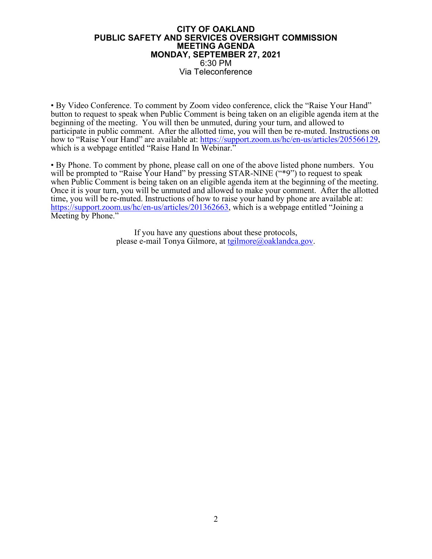#### **CITY OF OAKLAND PUBLIC SAFETY AND SERVICES OVERSIGHT COMMISSION MEETING AGENDA MONDAY, SEPTEMBER 27, 2021** 6:30 PM Via Teleconference

• By Video Conference. To comment by Zoom video conference, click the "Raise Your Hand" button to request to speak when Public Comment is being taken on an eligible agenda item at the beginning of the meeting. You will then be unmuted, during your turn, and allowed to participate in public comment. After the allotted time, you will then be re-muted. Instructions on how to "Raise Your Hand" are available at: [https://support.zoom.us/hc/en-us/articles/205566129,](https://support.zoom.us/hc/en-us/articles/205566129) which is a webpage entitled "Raise Hand In Webinar."

• By Phone. To comment by phone, please call on one of the above listed phone numbers. You will be prompted to "Raise Your Hand" by pressing STAR-NINE ("\*9") to request to speak when Public Comment is being taken on an eligible agenda item at the beginning of the meeting. Once it is your turn, you will be unmuted and allowed to make your comment. After the allotted time, you will be re-muted. Instructions of how to raise your hand by phone are available at: [https://support.zoom.us/hc/en-us/articles/201362663,](https://support.zoom.us/hc/en-us/articles/201362663) which is a webpage entitled "Joining a Meeting by Phone."

> If you have any questions about these protocols, please e-mail Tonya Gilmore, at [tgilmore@oaklandca.gov.](mailto:tgilmore@oaklandca.gov)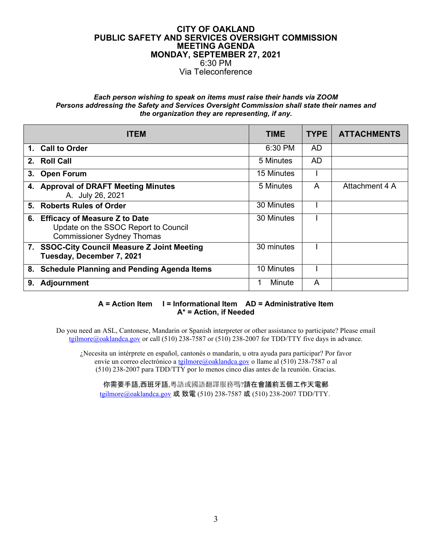#### **CITY OF OAKLAND PUBLIC SAFETY AND SERVICES OVERSIGHT COMMISSION MEETING AGENDA MONDAY, SEPTEMBER 27, 2021** 6:30 PM Via Teleconference

#### *Each person wishing to speak on items must raise their hands via ZOOM Persons addressing the Safety and Services Oversight Commission shall state their names and the organization they are representing, if any.*

|    | <b>ITEM</b>                                                                                                   | <b>TIME</b> | <b>TYPE</b> | <b>ATTACHMENTS</b> |
|----|---------------------------------------------------------------------------------------------------------------|-------------|-------------|--------------------|
|    | 1. Call to Order                                                                                              | 6:30 PM     | AD          |                    |
| 2. | <b>Roll Call</b>                                                                                              | 5 Minutes   | <b>AD</b>   |                    |
|    | 3. Open Forum                                                                                                 | 15 Minutes  |             |                    |
|    | 4. Approval of DRAFT Meeting Minutes<br>A. July 26, 2021                                                      | 5 Minutes   | A           | Attachment 4 A     |
| 5. | <b>Roberts Rules of Order</b>                                                                                 | 30 Minutes  |             |                    |
|    | 6. Efficacy of Measure Z to Date<br>Update on the SSOC Report to Council<br><b>Commissioner Sydney Thomas</b> | 30 Minutes  |             |                    |
|    | 7. SSOC-City Council Measure Z Joint Meeting<br>Tuesday, December 7, 2021                                     | 30 minutes  |             |                    |
| 8. | <b>Schedule Planning and Pending Agenda Items</b>                                                             | 10 Minutes  |             |                    |
| 9. | <b>Adjournment</b>                                                                                            | Minute      | A           |                    |

#### **A = Action Item I = Informational Item AD = Administrative Item A\* = Action, if Needed**

Do you need an ASL, Cantonese, Mandarin or Spanish interpreter or other assistance to participate? Please email [tgilmore@oaklandca.gov](mailto:tgilmore@oaklandca.gov) or call (510) 238-7587 or (510) 238-2007 for TDD/TTY five days in advance.

¿Necesita un intérprete en español, cantonés o mandarín, u otra ayuda para participar? Por favor envíe un correo electrónico a tgilmore@oaklandca.gov o llame al (510) 238-7587 o al (510) 238-2007 para TDD/TTY por lo menos cinco días antes de la reunión. Gracias.

你需要手語,西班牙語,粵語或國語翻譯服務嗎?請在會議前五個工作天電郵 [tgilmore@oaklandca.gov](mailto:tgilmore@oaklandca.gov) 或 致電 (510) 238-7587 或 (510) 238-2007 TDD/TTY.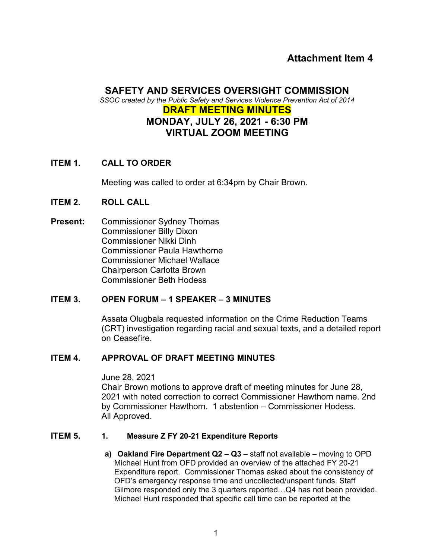## **Attachment Item 4**

## **SAFETY AND SERVICES OVERSIGHT COMMISSION**

*SSOC created by the Public Safety and Services Violence Prevention Act of 2014*

## **DRAFT MEETING MINUTES MONDAY, JULY 26, 2021 - 6:30 PM VIRTUAL ZOOM MEETING**

## **ITEM 1. CALL TO ORDER**

Meeting was called to order at 6:34pm by Chair Brown.

## **ITEM 2. ROLL CALL**

**Present:** Commissioner Sydney Thomas Commissioner Billy Dixon Commissioner Nikki Dinh Commissioner Paula Hawthorne Commissioner Michael Wallace Chairperson Carlotta Brown Commissioner Beth Hodess

## **ITEM 3. OPEN FORUM – 1 SPEAKER – 3 MINUTES**

Assata Olugbala requested information on the Crime Reduction Teams (CRT) investigation regarding racial and sexual texts, and a detailed report on Ceasefire.

## **ITEM 4. APPROVAL OF DRAFT MEETING MINUTES**

#### June 28, 2021

Chair Brown motions to approve draft of meeting minutes for June 28, 2021 with noted correction to correct Commissioner Hawthorn name. 2nd by Commissioner Hawthorn. 1 abstention – Commissioner Hodess. All Approved.

## **ITEM 5. 1. Measure Z FY 20-21 Expenditure Reports**

**a) Oakland Fire Department Q2 – Q3** – staff not available – moving to OPD Michael Hunt from OFD provided an overview of the attached FY 20-21 Expenditure report. Commissioner Thomas asked about the consistency of OFD's emergency response time and uncollected/unspent funds. Staff Gilmore responded only the 3 quarters reported…Q4 has not been provided. Michael Hunt responded that specific call time can be reported at the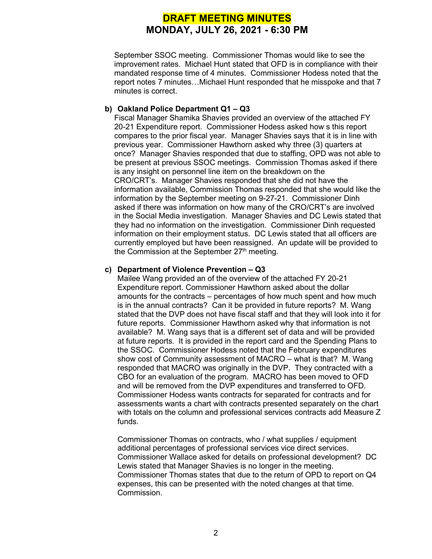# **DRAFT MEETING MINUTES MONDAY, JULY 26, 2021 - 6:30 PM**

September SSOC meeting. Commissioner Thomas would like to see the improvement rates. Michael Hunt stated that OFD is in compliance with their mandated response time of 4 minutes. Commissioner Hodess noted that the report notes 7 minutes…Michael Hunt responded that he misspoke and that 7 minutes is correct.

#### **b) Oakland Police Department Q1 – Q3**

Fiscal Manager Shamika Shavies provided an overview of the attached FY 20-21 Expenditure report. Commissioner Hodess asked how s this report compares to the prior fiscal year. Manager Shavies says that it is in line with previous year. Commissioner Hawthorn asked why three (3) quarters at once? Manager Shavies responded that due to staffing, OPD was not able to be present at previous SSOC meetings. Commission Thomas asked if there is any insight on personnel line item on the breakdown on the CRO/CRT's. Manager Shavies responded that she did not have the information available, Commission Thomas responded that she would like the information by the September meeting on 9-27-21. Commissioner Dinh asked if there was information on how many of the CRO/CRT's are involved in the Social Media investigation. Manager Shavies and DC Lewis stated that they had no information on the investigation. Commissioner Dinh requested information on their employment status. DC Lewis stated that all officers are currently employed but have been reassigned. An update will be provided to the Commission at the September  $27<sup>th</sup>$  meeting.

#### **c) Department of Violence Prevention – Q3**

Mailee Wang provided an of the overview of the attached FY 20-21 Expenditure report. Commissioner Hawthorn asked about the dollar amounts for the contracts – percentages of how much spent and how much is in the annual contracts? Can it be provided in future reports? M. Wang stated that the DVP does not have fiscal staff and that they will look into it for future reports. Commissioner Hawthorn asked why that information is not available? M. Wang says that is a different set of data and will be provided at future reports. It is provided in the report card and the Spending Plans to the SSOC. Commissioner Hodess noted that the February expenditures show cost of Community assessment of MACRO – what is that? M. Wang responded that MACRO was originally in the DVP. They contracted with a CBO for an evaluation of the program. MACRO has been moved to OFD and will be removed from the DVP expenditures and transferred to OFD. Commissioner Hodess wants contracts for separated for contracts and for assessments wants a chart with contracts presented separately on the chart with totals on the column and professional services contracts add Measure Z funds.

Commissioner Thomas on contracts, who / what supplies / equipment additional percentages of professional services vice direct services. Commissioner Wallace asked for details on professional development? DC Lewis stated that Manager Shavies is no longer in the meeting. Commissioner Thomas states that due to the return of OPD to report on Q4 expenses, this can be presented with the noted changes at that time. Commission.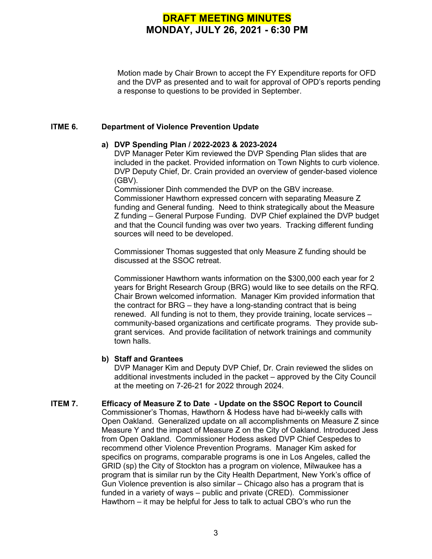# **DRAFT MEETING MINUTES MONDAY, JULY 26, 2021 - 6:30 PM**

Motion made by Chair Brown to accept the FY Expenditure reports for OFD and the DVP as presented and to wait for approval of OPD's reports pending a response to questions to be provided in September.

#### **ITME 6. Department of Violence Prevention Update**

#### **a) DVP Spending Plan / 2022-2023 & 2023-2024**

DVP Manager Peter Kim reviewed the DVP Spending Plan slides that are included in the packet. Provided information on Town Nights to curb violence. DVP Deputy Chief, Dr. Crain provided an overview of gender-based violence (GBV).

Commissioner Dinh commended the DVP on the GBV increase. Commissioner Hawthorn expressed concern with separating Measure Z funding and General funding. Need to think strategically about the Measure Z funding – General Purpose Funding. DVP Chief explained the DVP budget and that the Council funding was over two years. Tracking different funding sources will need to be developed.

Commissioner Thomas suggested that only Measure Z funding should be discussed at the SSOC retreat.

Commissioner Hawthorn wants information on the \$300,000 each year for 2 years for Bright Research Group (BRG) would like to see details on the RFQ. Chair Brown welcomed information. Manager Kim provided information that the contract for BRG – they have a long-standing contract that is being renewed. All funding is not to them, they provide training, locate services – community-based organizations and certificate programs. They provide subgrant services. And provide facilitation of network trainings and community town halls.

#### **b) Staff and Grantees**

DVP Manager Kim and Deputy DVP Chief, Dr. Crain reviewed the slides on additional investments included in the packet – approved by the City Council at the meeting on 7-26-21 for 2022 through 2024.

## **ITEM 7. Efficacy of Measure Z to Date - Update on the SSOC Report to Council**

Commissioner's Thomas, Hawthorn & Hodess have had bi-weekly calls with Open Oakland. Generalized update on all accomplishments on Measure Z since Measure Y and the impact of Measure Z on the City of Oakland. Introduced Jess from Open Oakland. Commissioner Hodess asked DVP Chief Cespedes to recommend other Violence Prevention Programs. Manager Kim asked for specifics on programs, comparable programs is one in Los Angeles, called the GRID (sp) the City of Stockton has a program on violence, Milwaukee has a program that is similar run by the City Health Department, New York's office of Gun Violence prevention is also similar – Chicago also has a program that is funded in a variety of ways – public and private (CRED). Commissioner Hawthorn – it may be helpful for Jess to talk to actual CBO's who run the